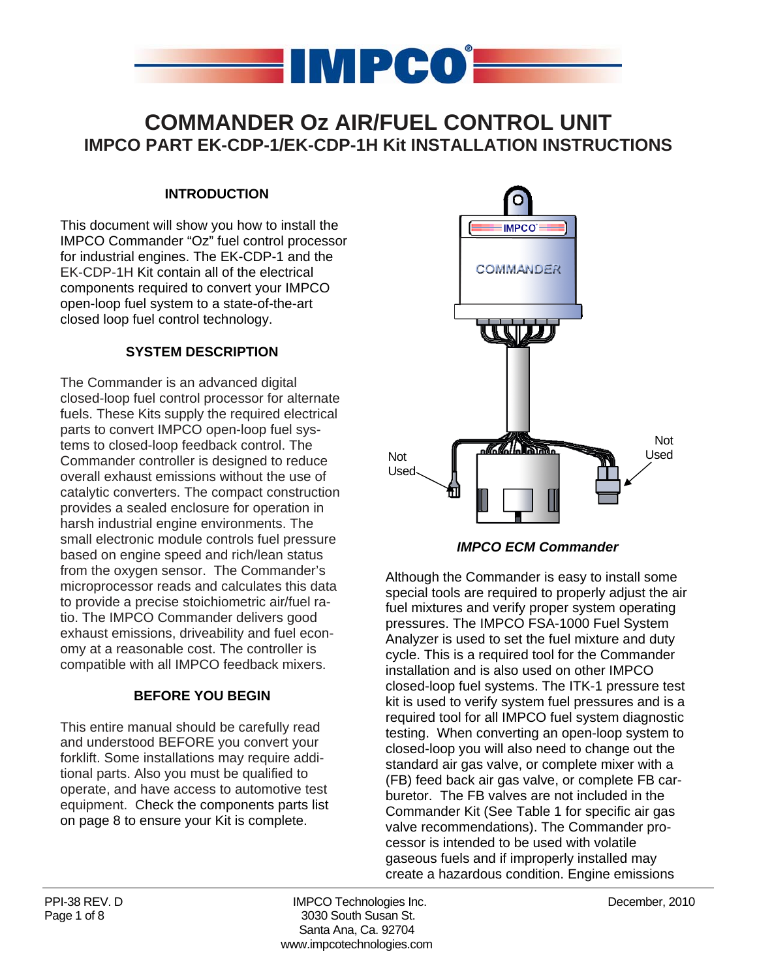

### **COMMANDER Oz AIR/FUEL CONTROL UNIT IMPCO PART EK-CDP-1/EK-CDP-1H Kit INSTALLATION INSTRUCTIONS**

#### **INTRODUCTION**

This document will show you how to install the IMPCO Commander "Oz" fuel control processor for industrial engines. The EK-CDP-1 and the EK-CDP-1H Kit contain all of the electrical components required to convert your IMPCO open-loop fuel system to a state-of-the-art closed loop fuel control technology.

#### **SYSTEM DESCRIPTION**

The Commander is an advanced digital closed-loop fuel control processor for alternate fuels. These Kits supply the required electrical parts to convert IMPCO open-loop fuel systems to closed-loop feedback control. The Commander controller is designed to reduce overall exhaust emissions without the use of catalytic converters. The compact construction provides a sealed enclosure for operation in harsh industrial engine environments. The small electronic module controls fuel pressure based on engine speed and rich/lean status from the oxygen sensor. The Commander's microprocessor reads and calculates this data to provide a precise stoichiometric air/fuel ratio. The IMPCO Commander delivers good exhaust emissions, driveability and fuel economy at a reasonable cost. The controller is compatible with all IMPCO feedback mixers.

#### **BEFORE YOU BEGIN**

This entire manual should be carefully read and understood BEFORE you convert your forklift. Some installations may require additional parts. Also you must be qualified to operate, and have access to automotive test equipment. Check the components parts list on page 8 to ensure your Kit is complete.



*IMPCO ECM Commander* 

Although the Commander is easy to install some special tools are required to properly adjust the air fuel mixtures and verify proper system operating pressures. The IMPCO FSA-1000 Fuel System Analyzer is used to set the fuel mixture and duty cycle. This is a required tool for the Commander installation and is also used on other IMPCO closed-loop fuel systems. The ITK-1 pressure test kit is used to verify system fuel pressures and is a required tool for all IMPCO fuel system diagnostic testing. When converting an open-loop system to closed-loop you will also need to change out the standard air gas valve, or complete mixer with a (FB) feed back air gas valve, or complete FB carburetor. The FB valves are not included in the Commander Kit (See Table 1 for specific air gas valve recommendations). The Commander processor is intended to be used with volatile gaseous fuels and if improperly installed may create a hazardous condition. Engine emissions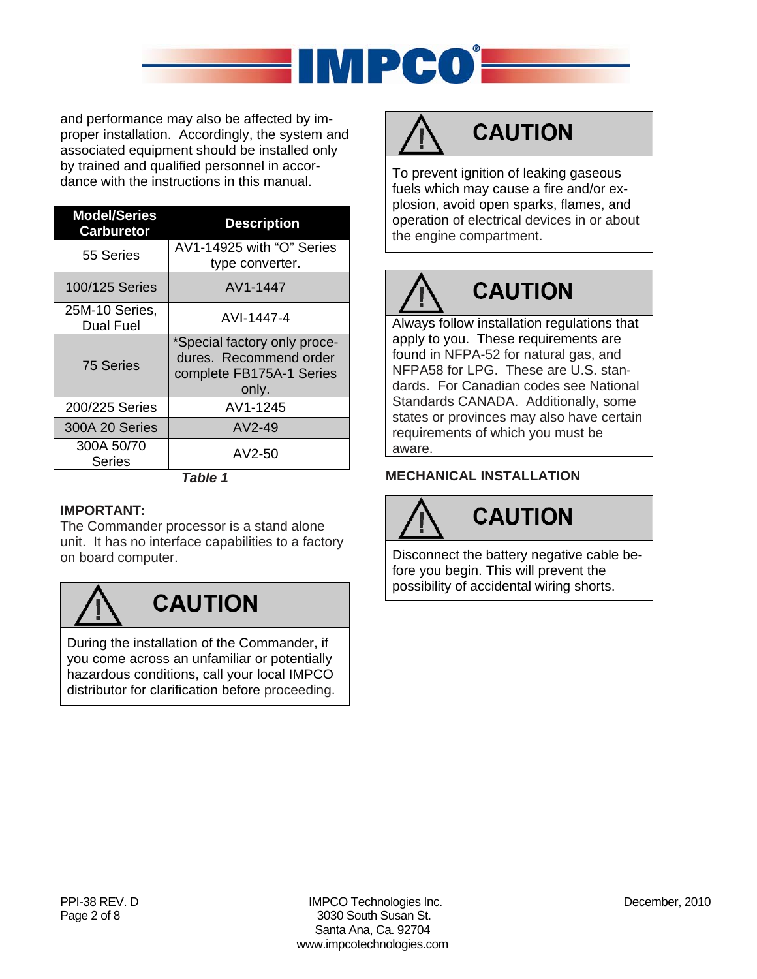

and performance may also be affected by improper installation. Accordingly, the system and associated equipment should be installed only by trained and qualified personnel in accordance with the instructions in this manual.

| <b>Model/Series</b><br><b>Carburetor</b> | <b>Description</b>                                                                          |  |  |
|------------------------------------------|---------------------------------------------------------------------------------------------|--|--|
| 55 Series                                | AV1-14925 with "O" Series<br>type converter.                                                |  |  |
| 100/125 Series                           | AV1-1447                                                                                    |  |  |
| 25M-10 Series,<br><b>Dual Fuel</b>       | AVI-1447-4                                                                                  |  |  |
| 75 Series                                | *Special factory only proce-<br>dures. Recommend order<br>complete FB175A-1 Series<br>only. |  |  |
| 200/225 Series                           | AV1-1245                                                                                    |  |  |
| 300A 20 Series                           | AV2-49                                                                                      |  |  |
| 300A 50/70<br><b>Series</b>              | AV2-50<br>Tahla 1                                                                           |  |  |

#### *Table 1*

#### **IMPORTANT:**

The Commander processor is a stand alone unit. It has no interface capabilities to a factory on board computer.



### **CAUTION**

During the installation of the Commander, if you come across an unfamiliar or potentially hazardous conditions, call your local IMPCO distributor for clarification before proceeding.

## **CAUTION**

To prevent ignition of leaking gaseous fuels which may cause a fire and/or explosion, avoid open sparks, flames, and operation of electrical devices in or about the engine compartment.

# **CAUTION**

Always follow installation regulations that apply to you. These requirements are found in NFPA-52 for natural gas, and NFPA58 for LPG. These are U.S. standards. For Canadian codes see National Standards CANADA. Additionally, some states or provinces may also have certain requirements of which you must be aware.

#### **MECHANICAL INSTALLATION**

## **CAUTION**

Disconnect the battery negative cable before you begin. This will prevent the possibility of accidental wiring shorts.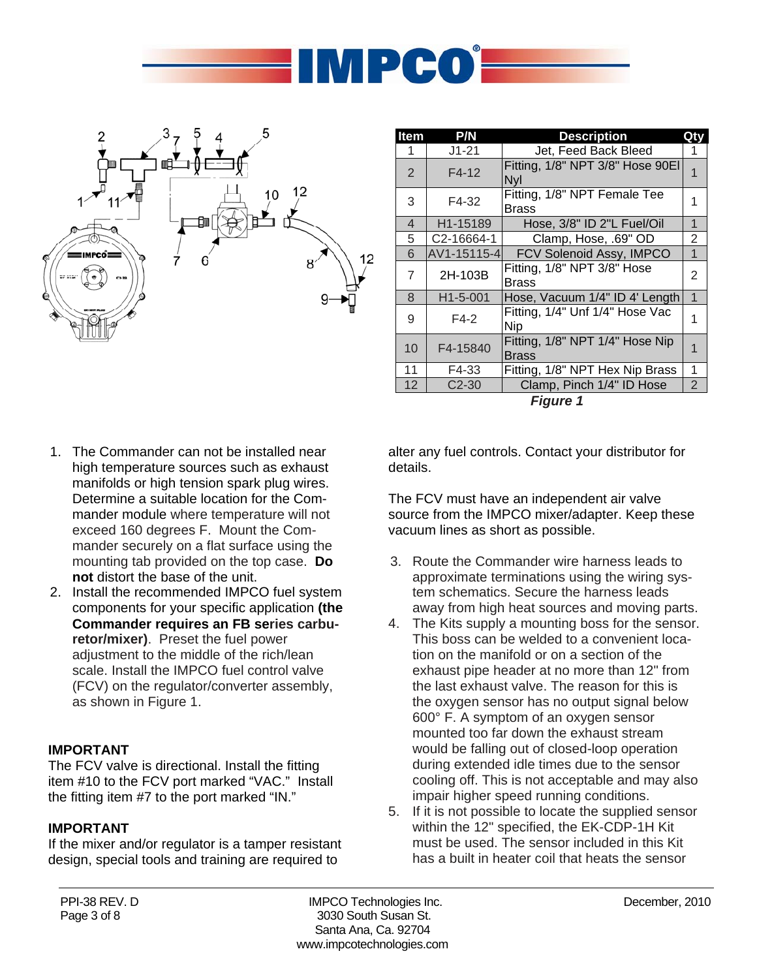



| Item           | P/N                     | <b>Description</b>                              | Qtv                     |  |  |  |  |
|----------------|-------------------------|-------------------------------------------------|-------------------------|--|--|--|--|
| 1              | $J1 - 21$               | Jet, Feed Back Bleed                            |                         |  |  |  |  |
| 2              | $F4-12$                 | Fitting, 1/8" NPT 3/8" Hose 90EI<br><b>Nyl</b>  |                         |  |  |  |  |
| 3              | F4-32                   | Fitting, 1/8" NPT Female Tee<br>Brass           |                         |  |  |  |  |
| $\overline{4}$ | H1-15189                | Hose, 3/8" ID 2"L Fuel/Oil                      | 1                       |  |  |  |  |
| 5              | C <sub>2</sub> -16664-1 | Clamp, Hose, .69" OD                            | 2                       |  |  |  |  |
| 6              | AV1-15115-4             | FCV Solenoid Assy, IMPCO                        |                         |  |  |  |  |
| 7              | 2H-103B                 | Fitting, 1/8" NPT 3/8" Hose<br>Brass            | 2                       |  |  |  |  |
| 8              | H <sub>1</sub> -5-001   | Hose, Vacuum 1/4" ID 4' Length                  | 1                       |  |  |  |  |
| 9              | $F4-2$                  | Fitting, 1/4" Unf 1/4" Hose Vac<br><b>Nip</b>   | 1                       |  |  |  |  |
| 10             | F4-15840                | Fitting, 1/8" NPT 1/4" Hose Nip<br><b>Brass</b> | $\overline{\mathbf{1}}$ |  |  |  |  |
| 11             | F4-33                   | Fitting, 1/8" NPT Hex Nip Brass                 | 1                       |  |  |  |  |
| 12             | $C2-30$                 | Clamp, Pinch 1/4" ID Hose                       | 2                       |  |  |  |  |
| $Eianra$ 1     |                         |                                                 |                         |  |  |  |  |

*Figure 1*

- 1. The Commander can not be installed near high temperature sources such as exhaust manifolds or high tension spark plug wires. Determine a suitable location for the Commander module where temperature will not exceed 160 degrees F. Mount the Commander securely on a flat surface using the mounting tab provided on the top case. **Do not** distort the base of the unit.
- 2. Install the recommended IMPCO fuel system components for your specific application **(the Commander requires an FB series carburetor/mixer)**. Preset the fuel power adjustment to the middle of the rich/lean scale. Install the IMPCO fuel control valve (FCV) on the regulator/converter assembly, as shown in Figure 1.

#### **IMPORTANT**

The FCV valve is directional. Install the fitting item #10 to the FCV port marked "VAC." Install the fitting item #7 to the port marked "IN."

#### **IMPORTANT**

If the mixer and/or regulator is a tamper resistant design, special tools and training are required to

alter any fuel controls. Contact your distributor for details.

The FCV must have an independent air valve source from the IMPCO mixer/adapter. Keep these vacuum lines as short as possible.

- 3. Route the Commander wire harness leads to approximate terminations using the wiring system schematics. Secure the harness leads away from high heat sources and moving parts.
- 4. The Kits supply a mounting boss for the sensor. This boss can be welded to a convenient location on the manifold or on a section of the exhaust pipe header at no more than 12" from the last exhaust valve. The reason for this is the oxygen sensor has no output signal below 600° F. A symptom of an oxygen sensor mounted too far down the exhaust stream would be falling out of closed-loop operation during extended idle times due to the sensor cooling off. This is not acceptable and may also impair higher speed running conditions.
- 5. If it is not possible to locate the supplied sensor within the 12" specified, the EK-CDP-1H Kit must be used. The sensor included in this Kit has a built in heater coil that heats the sensor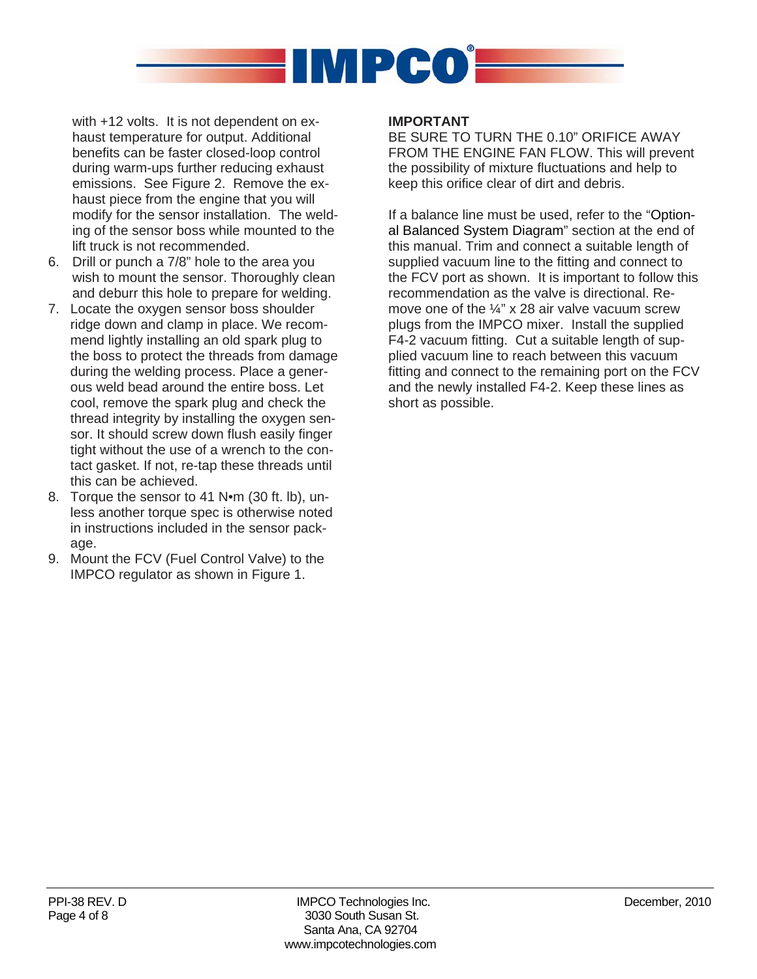

with +12 volts. It is not dependent on exhaust temperature for output. Additional benefits can be faster closed-loop control during warm-ups further reducing exhaust emissions. See Figure 2. Remove the exhaust piece from the engine that you will modify for the sensor installation. The welding of the sensor boss while mounted to the lift truck is not recommended.

- 6. Drill or punch a 7/8" hole to the area you wish to mount the sensor. Thoroughly clean and deburr this hole to prepare for welding.
- 7. Locate the oxygen sensor boss shoulder ridge down and clamp in place. We recommend lightly installing an old spark plug to the boss to protect the threads from damage during the welding process. Place a generous weld bead around the entire boss. Let cool, remove the spark plug and check the thread integrity by installing the oxygen sensor. It should screw down flush easily finger tight without the use of a wrench to the contact gasket. If not, re-tap these threads until this can be achieved.
- 8. Torque the sensor to 41 Nom (30 ft. lb), unless another torque spec is otherwise noted in instructions included in the sensor package.
- 9. Mount the FCV (Fuel Control Valve) to the IMPCO regulator as shown in Figure 1.

#### **IMPORTANT**

BE SURE TO TURN THE 0.10" ORIFICE AWAY FROM THE ENGINE FAN FLOW. This will prevent the possibility of mixture fluctuations and help to keep this orifice clear of dirt and debris.

If a balance line must be used, refer to the "Optional Balanced System Diagram" section at the end of this manual. Trim and connect a suitable length of supplied vacuum line to the fitting and connect to the FCV port as shown. It is important to follow this recommendation as the valve is directional. Remove one of the ¼" x 28 air valve vacuum screw plugs from the IMPCO mixer. Install the supplied F4-2 vacuum fitting. Cut a suitable length of supplied vacuum line to reach between this vacuum fitting and connect to the remaining port on the FCV and the newly installed F4-2. Keep these lines as short as possible.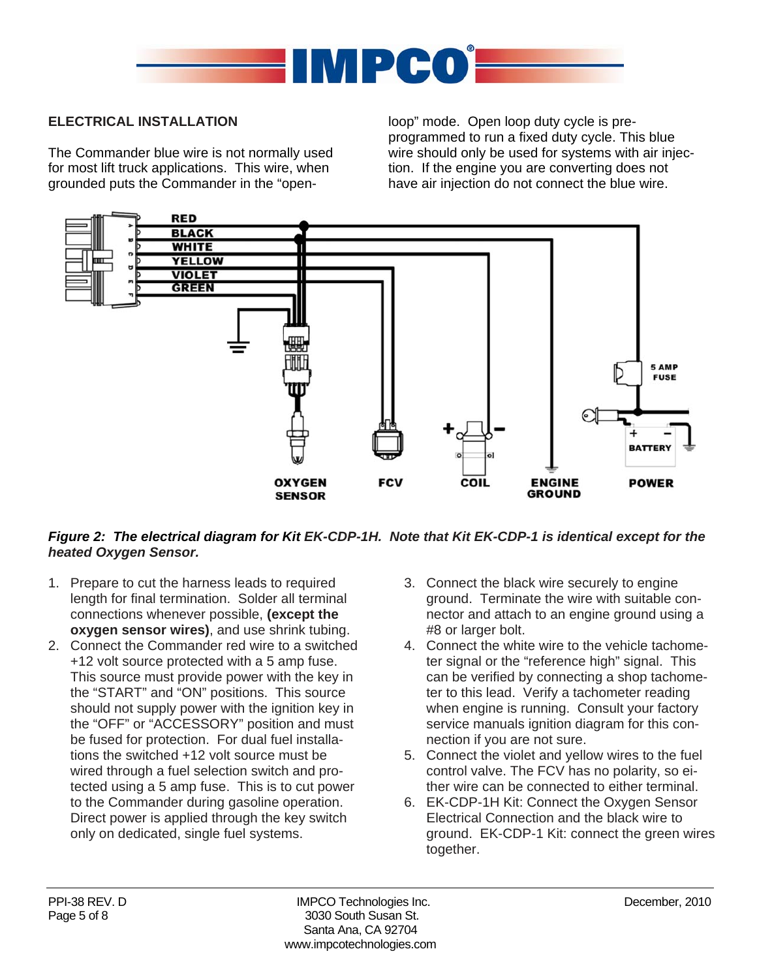

#### **ELECTRICAL INSTALLATION**

The Commander blue wire is not normally used for most lift truck applications. This wire, when grounded puts the Commander in the "openloop" mode. Open loop duty cycle is preprogrammed to run a fixed duty cycle. This blue wire should only be used for systems with air injection. If the engine you are converting does not have air injection do not connect the blue wire.



#### *Figure 2: The electrical diagram for Kit EK-CDP-1H. Note that Kit EK-CDP-1 is identical except for the heated Oxygen Sensor.*

- 1. Prepare to cut the harness leads to required length for final termination. Solder all terminal connections whenever possible, **(except the oxygen sensor wires)**, and use shrink tubing.
- 2. Connect the Commander red wire to a switched +12 volt source protected with a 5 amp fuse. This source must provide power with the key in the "START" and "ON" positions. This source should not supply power with the ignition key in the "OFF" or "ACCESSORY" position and must be fused for protection. For dual fuel installations the switched +12 volt source must be wired through a fuel selection switch and protected using a 5 amp fuse. This is to cut power to the Commander during gasoline operation. Direct power is applied through the key switch only on dedicated, single fuel systems.
- 3. Connect the black wire securely to engine ground. Terminate the wire with suitable connector and attach to an engine ground using a #8 or larger bolt.
- 4. Connect the white wire to the vehicle tachometer signal or the "reference high" signal. This can be verified by connecting a shop tachometer to this lead. Verify a tachometer reading when engine is running. Consult your factory service manuals ignition diagram for this connection if you are not sure.
- 5. Connect the violet and yellow wires to the fuel control valve. The FCV has no polarity, so either wire can be connected to either terminal.
- 6. EK-CDP-1H Kit: Connect the Oxygen Sensor Electrical Connection and the black wire to ground. EK-CDP-1 Kit: connect the green wires together.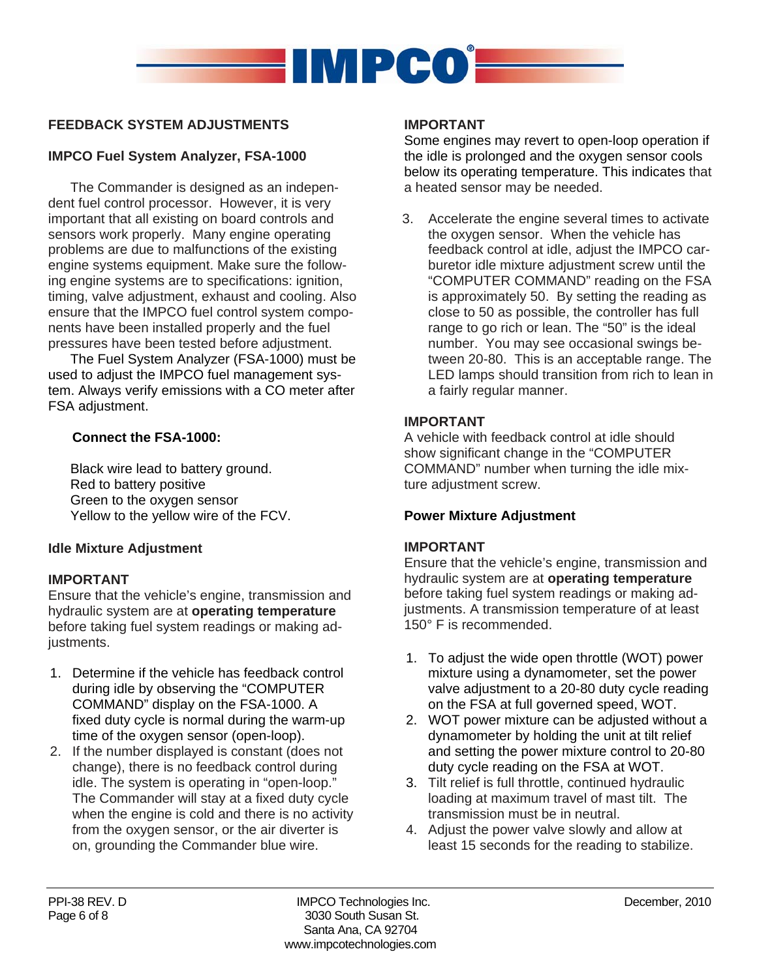

#### **FEEDBACK SYSTEM ADJUSTMENTS**

#### **IMPCO Fuel System Analyzer, FSA-1000**

The Commander is designed as an independent fuel control processor. However, it is very important that all existing on board controls and sensors work properly. Many engine operating problems are due to malfunctions of the existing engine systems equipment. Make sure the following engine systems are to specifications: ignition, timing, valve adjustment, exhaust and cooling. Also ensure that the IMPCO fuel control system components have been installed properly and the fuel pressures have been tested before adjustment.

The Fuel System Analyzer (FSA-1000) must be used to adjust the IMPCO fuel management system. Always verify emissions with a CO meter after FSA adjustment.

#### **Connect the FSA-1000:**

Black wire lead to battery ground. Red to battery positive Green to the oxygen sensor Yellow to the yellow wire of the FCV.

#### **Idle Mixture Adjustment**

#### **IMPORTANT**

Ensure that the vehicle's engine, transmission and hydraulic system are at **operating temperature** before taking fuel system readings or making adjustments.

- 1. Determine if the vehicle has feedback control during idle by observing the "COMPUTER COMMAND" display on the FSA-1000. A fixed duty cycle is normal during the warm-up time of the oxygen sensor (open-loop).
- 2. If the number displayed is constant (does not change), there is no feedback control during idle. The system is operating in "open-loop." The Commander will stay at a fixed duty cycle when the engine is cold and there is no activity from the oxygen sensor, or the air diverter is on, grounding the Commander blue wire.

#### **IMPORTANT**

Some engines may revert to open-loop operation if the idle is prolonged and the oxygen sensor cools below its operating temperature. This indicates that a heated sensor may be needed.

3. Accelerate the engine several times to activate the oxygen sensor. When the vehicle has feedback control at idle, adjust the IMPCO carburetor idle mixture adjustment screw until the "COMPUTER COMMAND" reading on the FSA is approximately 50. By setting the reading as close to 50 as possible, the controller has full range to go rich or lean. The "50" is the ideal number. You may see occasional swings between 20-80. This is an acceptable range. The LED lamps should transition from rich to lean in a fairly regular manner.

#### **IMPORTANT**

A vehicle with feedback control at idle should show significant change in the "COMPUTER COMMAND" number when turning the idle mixture adjustment screw.

#### **Power Mixture Adjustment**

#### **IMPORTANT**

Ensure that the vehicle's engine, transmission and hydraulic system are at **operating temperature** before taking fuel system readings or making adjustments. A transmission temperature of at least 150° F is recommended.

- 1. To adjust the wide open throttle (WOT) power mixture using a dynamometer, set the power valve adjustment to a 20-80 duty cycle reading on the FSA at full governed speed, WOT.
- 2. WOT power mixture can be adjusted without a dynamometer by holding the unit at tilt relief and setting the power mixture control to 20-80 duty cycle reading on the FSA at WOT.
- 3. Tilt relief is full throttle, continued hydraulic loading at maximum travel of mast tilt. The transmission must be in neutral.
- 4. Adjust the power valve slowly and allow at least 15 seconds for the reading to stabilize.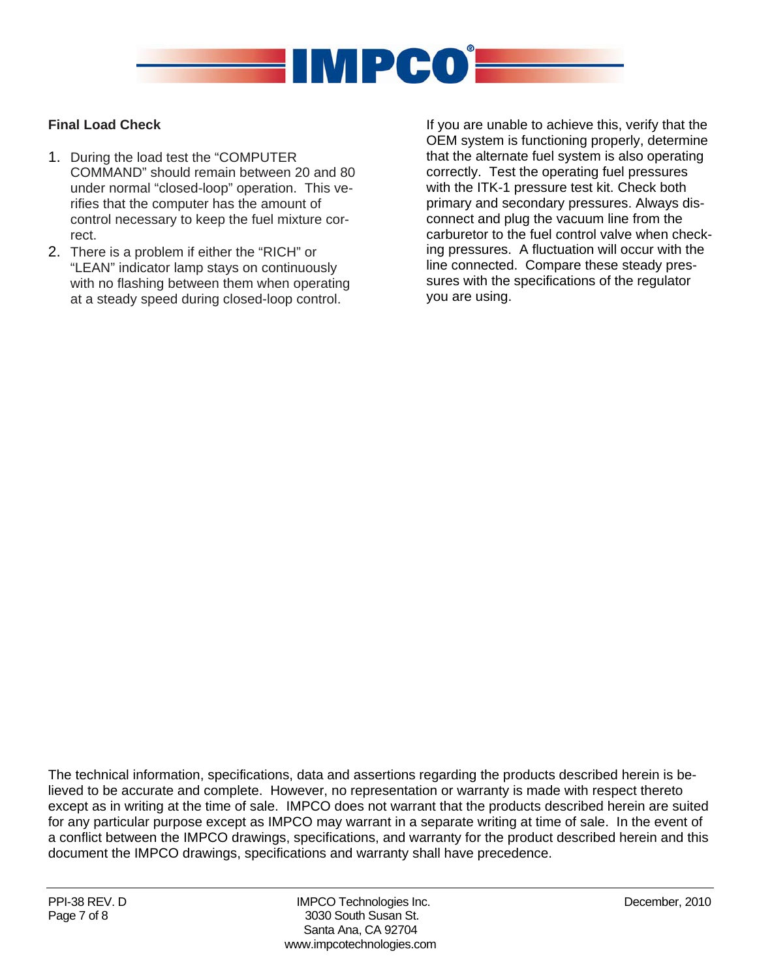

#### **Final Load Check**

- 1. During the load test the "COMPUTER COMMAND" should remain between 20 and 80 under normal "closed-loop" operation. This verifies that the computer has the amount of control necessary to keep the fuel mixture correct.
- 2. There is a problem if either the "RICH" or "LEAN" indicator lamp stays on continuously with no flashing between them when operating at a steady speed during closed-loop control.

If you are unable to achieve this, verify that the OEM system is functioning properly, determine that the alternate fuel system is also operating correctly. Test the operating fuel pressures with the ITK-1 pressure test kit. Check both primary and secondary pressures. Always disconnect and plug the vacuum line from the carburetor to the fuel control valve when checking pressures. A fluctuation will occur with the line connected. Compare these steady pressures with the specifications of the regulator you are using.

The technical information, specifications, data and assertions regarding the products described herein is believed to be accurate and complete. However, no representation or warranty is made with respect thereto except as in writing at the time of sale. IMPCO does not warrant that the products described herein are suited for any particular purpose except as IMPCO may warrant in a separate writing at time of sale. In the event of a conflict between the IMPCO drawings, specifications, and warranty for the product described herein and this document the IMPCO drawings, specifications and warranty shall have precedence.